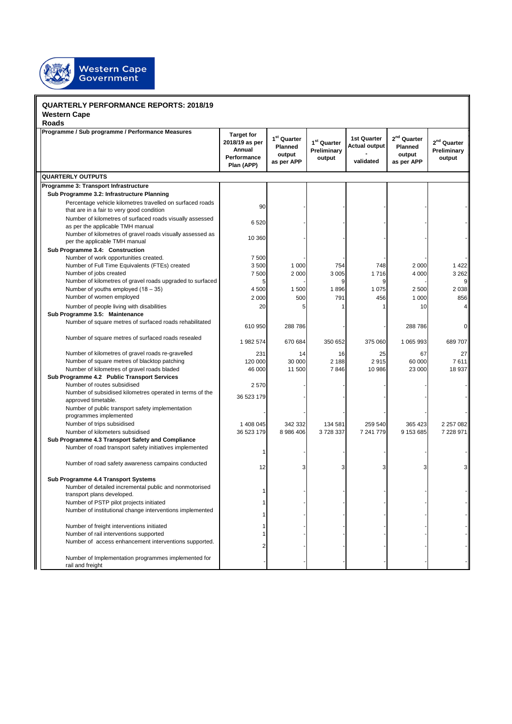

## **QUARTERLY PERFORMANCE REPORTS: 2018/19**

**Western Cape**

| <b>Roads</b>                                                                                             |                                                                            |                                                  |                                                  |                                                         |                                                            |                                           |  |  |
|----------------------------------------------------------------------------------------------------------|----------------------------------------------------------------------------|--------------------------------------------------|--------------------------------------------------|---------------------------------------------------------|------------------------------------------------------------|-------------------------------------------|--|--|
| Programme / Sub programme / Performance Measures                                                         | <b>Target for</b><br>2018/19 as per<br>Annual<br>Performance<br>Plan (APP) | $1st$ Quarter<br>Planned<br>output<br>as per APP | 1 <sup>st</sup> Quarter<br>Preliminary<br>output | <b>1st Quarter</b><br><b>Actual output</b><br>validated | 2 <sup>nd</sup> Quarter<br>Planned<br>output<br>as per APP | $2^{nd}$ Quarter<br>Preliminary<br>output |  |  |
| <b>QUARTERLY OUTPUTS</b>                                                                                 |                                                                            |                                                  |                                                  |                                                         |                                                            |                                           |  |  |
| Programme 3: Transport Infrastructure                                                                    |                                                                            |                                                  |                                                  |                                                         |                                                            |                                           |  |  |
| Sub Programme 3.2: Infrastructure Planning                                                               |                                                                            |                                                  |                                                  |                                                         |                                                            |                                           |  |  |
| Percentage vehicle kilometres travelled on surfaced roads<br>that are in a fair to very good condition   | 90                                                                         |                                                  |                                                  |                                                         |                                                            |                                           |  |  |
| Number of kilometres of surfaced roads visually assessed<br>as per the applicable TMH manual             | 6 5 20                                                                     |                                                  |                                                  |                                                         |                                                            |                                           |  |  |
| Number of kilometres of gravel roads visually assessed as<br>per the applicable TMH manual               | 10 360                                                                     |                                                  |                                                  |                                                         |                                                            |                                           |  |  |
| Sub Programme 3.4: Construction<br>Number of work opportunities created.                                 | 7 500                                                                      |                                                  |                                                  |                                                         |                                                            |                                           |  |  |
| Number of Full Time Equivalents (FTEs) created                                                           | 3500                                                                       | 1 0 0 0                                          | 754                                              | 748                                                     | 2 0 0 0                                                    | 1 4 2 2                                   |  |  |
| Number of jobs created                                                                                   | 7500                                                                       | 2 0 0 0                                          | 3 0 0 5                                          | 1716                                                    | 4 0 0 0                                                    | 3 2 6 2                                   |  |  |
| Number of kilometres of gravel roads upgraded to surfaced                                                |                                                                            |                                                  |                                                  |                                                         |                                                            |                                           |  |  |
| Number of youths employed $(18-35)$                                                                      | 4 500                                                                      | 1 500                                            | 1896                                             | 1 0 7 5                                                 | 2 500                                                      | 2 0 38                                    |  |  |
| Number of women employed                                                                                 | 2 0 0 0                                                                    | 500                                              | 791                                              | 456                                                     | 1 000                                                      | 856                                       |  |  |
| Number of people living with disabilities                                                                | 20                                                                         |                                                  |                                                  |                                                         | 10                                                         |                                           |  |  |
| Sub Programme 3.5: Maintenance<br>Number of square metres of surfaced roads rehabilitated                | 610 950                                                                    | 288 786                                          |                                                  |                                                         | 288 786                                                    |                                           |  |  |
| Number of square metres of surfaced roads resealed                                                       | 1 982 574                                                                  | 670 684                                          | 350 652                                          | 375 060                                                 | 1 065 993                                                  | 689707                                    |  |  |
| Number of kilometres of gravel roads re-gravelled                                                        | 231                                                                        | 14                                               | 16                                               | 25                                                      | 67                                                         | 27                                        |  |  |
| Number of square metres of blacktop patching                                                             | 120 000                                                                    | 30 000                                           | 2 188                                            | 2915                                                    | 60 000                                                     | 7611                                      |  |  |
| Number of kilometres of gravel roads bladed                                                              | 46 000                                                                     | 11 500                                           | 7846                                             | 10 986                                                  | 23 000                                                     | 18 937                                    |  |  |
| Sub Programme 4.2 Public Transport Services                                                              |                                                                            |                                                  |                                                  |                                                         |                                                            |                                           |  |  |
| Number of routes subsidised                                                                              | 2570                                                                       |                                                  |                                                  |                                                         |                                                            |                                           |  |  |
| Number of subsidised kilometres operated in terms of the<br>approved timetable.                          | 36 523 179                                                                 |                                                  |                                                  |                                                         |                                                            |                                           |  |  |
| Number of public transport safety implementation<br>programmes implemented<br>Number of trips subsidised | 1 408 045                                                                  | 342 332                                          | 134 581                                          | 259 540                                                 | 365 423                                                    | 2 2 5 7 0 8 2                             |  |  |
| Number of kilometers subsidised                                                                          | 36 523 179                                                                 | 8 986 406                                        | 3728337                                          | 7 241 779                                               | 9 153 685                                                  | 7 228 971                                 |  |  |
| Sub Programme 4.3 Transport Safety and Compliance                                                        |                                                                            |                                                  |                                                  |                                                         |                                                            |                                           |  |  |
| Number of road transport safety initiatives implemented                                                  |                                                                            |                                                  |                                                  |                                                         |                                                            |                                           |  |  |
| Number of road safety awareness campains conducted                                                       | 12                                                                         | 3                                                |                                                  | 3                                                       |                                                            |                                           |  |  |
| Sub Programme 4.4 Transport Systems                                                                      |                                                                            |                                                  |                                                  |                                                         |                                                            |                                           |  |  |
| Number of detailed incremental public and nonmotorised<br>transport plans developed.                     |                                                                            |                                                  |                                                  |                                                         |                                                            |                                           |  |  |
| Number of PSTP pilot projects initiated                                                                  |                                                                            |                                                  |                                                  |                                                         |                                                            |                                           |  |  |
| Number of institutional change interventions implemented                                                 |                                                                            |                                                  |                                                  |                                                         |                                                            |                                           |  |  |
| Number of freight interventions initiated                                                                |                                                                            |                                                  |                                                  |                                                         |                                                            |                                           |  |  |
| Number of rail interventions supported<br>Number of access enhancement interventions supported.          |                                                                            |                                                  |                                                  |                                                         |                                                            |                                           |  |  |
| Number of Implementation programmes implemented for<br>rail and freight                                  |                                                                            |                                                  |                                                  |                                                         |                                                            |                                           |  |  |